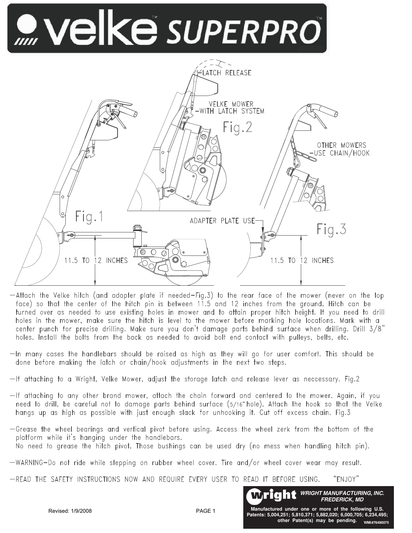# WEIKE SUPERPRO



 $-$ Attach the Velke hitch (and adapter plate if needed $-$ Fig.3) to the rear face of the mower (never on the top face) so that the center of the hitch pin is between 11.5 and 12 inches from the ground. Hitch can be turned over as needed to use existing holes in mower and to attain proper hitch height. If you need to drill holes in the mower, make sure the hitch is level to the mower before marking hole locations. Mark with a center punch for precise drilling. Make sure you don't damage parts behind surface when drilling. Drill 3/8" holes. Install the bolts from the back as needed to avoid bolt end contact with pulleys, belts, etc.

- $-$ In many cases the handlebars should be raised as high as they will go for user comfort. This should be done before making the latch or chain/hook adjustments in the next two steps.
- $-$ If attaching to a Wright, Velke Mower, adjust the storage latch and release lever as neccessary. Fig.2
- $-$ If attaching to any other brand mower, attach the chain forward and centered to the mower. Again, if you need to drill, be careful not to damage parts behind surface (5/16" hole). Attach the hook so that the Velke hangs up as high as possible with just enough slack for unhooking it. Cut off excess chain. Fig.3
- -Grease the wheel bearings and vertical pivot before using. Access the wheel zerk from the bottom of the platform while it's hanging under the handlebars. No need to grease the hitch pivot. Those bushings can be used dry (no mess when handling hitch pin).
- $-WARNING-Do$  not ride while stepping on rubber wheel cover. Tire and/or wheel cover wear may result.
- -READ THE SAFETY INSTRUCTIONS NOW AND REQUIRE EVERY USER TO READ IT BEFORE USING. "ENJOY"



PAGF<sub>1</sub>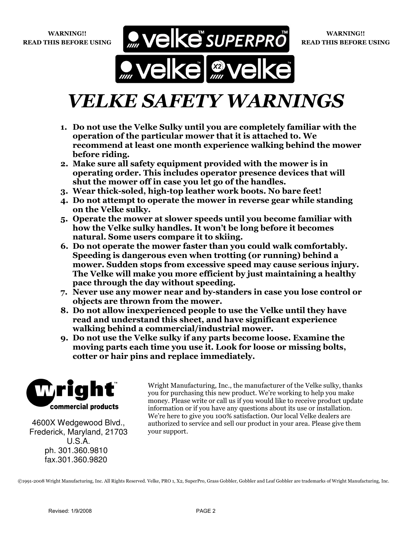WARNING!! READ THIS BEFORE USING



### VELKE SAFETY WARNINGS

- 1. Do not use the Velke Sulky until you are completely familiar with the operation of the particular mower that it is attached to. We recommend at least one month experience walking behind the mower before riding.
- 2. Make sure all safety equipment provided with the mower is in operating order. This includes operator presence devices that will shut the mower off in case you let go of the handles.
- 3. Wear thick-soled, high-top leather work boots. No bare feet!
- 4. Do not attempt to operate the mower in reverse gear while standing on the Velke sulky.
- 5. Operate the mower at slower speeds until you become familiar with how the Velke sulky handles. It won't be long before it becomes natural. Some users compare it to skiing.
- 6. Do not operate the mower faster than you could walk comfortably. Speeding is dangerous even when trotting (or running) behind a mower. Sudden stops from excessive speed may cause serious injury. The Velke will make you more efficient by just maintaining a healthy pace through the day without speeding.
- 7. Never use any mower near and by-standers in case you lose control or objects are thrown from the mower.
- 8. Do not allow inexperienced people to use the Velke until they have read and understand this sheet, and have significant experience walking behind a commercial/industrial mower.
- 9. Do not use the Velke sulky if any parts become loose. Examine the moving parts each time you use it. Look for loose or missing bolts, cotter or hair pins and replace immediately.



4600X Wedgewood Blvd., Frederick, Maryland, 21703 U.S.A. ph. 301.360.9810 fax.301.360.9820

Wright Manufacturing, Inc., the manufacturer of the Velke sulky, thanks you for purchasing this new product. We're working to help you make money. Please write or call us if you would like to receive product update information or if you have any questions about its use or installation. We're here to give you 100% satisfaction. Our local Velke dealers are authorized to service and sell our product in your area. Please give them your support.

©1991-2008 Wright Manufacturing, Inc. All Rights Reserved. Velke, PRO 1, X2, SuperPro, Grass Gobbler, Gobbler and Leaf Gobbler are trademarks of Wright Manufacturing, Inc.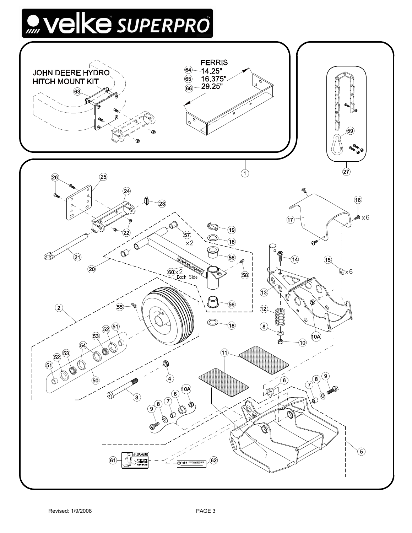# **O Velke** SUPERPRO

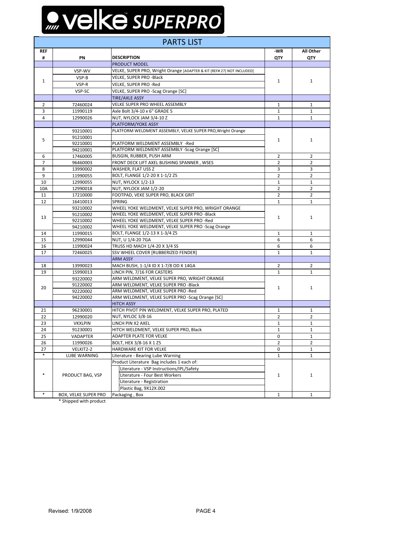# Welke SUPERPRO

| <b>PARTS LIST</b> |                      |                                                                                          |                |                |  |  |  |
|-------------------|----------------------|------------------------------------------------------------------------------------------|----------------|----------------|--|--|--|
| <b>REF</b>        |                      | -WR                                                                                      | All Other      |                |  |  |  |
| #                 | PN                   | <b>DESCRIPTION</b>                                                                       | QTY            | QTY            |  |  |  |
|                   |                      | PRODUCT MODEL                                                                            |                |                |  |  |  |
|                   | VSP-WV               | VELKE, SUPER PRO, Wright Orange [ADAPTER & KIT (REF# 27) NOT INCLUDED]                   |                |                |  |  |  |
| $\mathbf{1}$      | VSP-B                | VELKE, SUPER PRO -Black                                                                  |                |                |  |  |  |
|                   | VSP-R                | VELKE, SUPER PRO -Red                                                                    | $\mathbf{1}$   | $\mathbf{1}$   |  |  |  |
|                   | VSP-SC               | VELKE, SUPER PRO -Scag Orange [SC]                                                       |                |                |  |  |  |
|                   |                      | <b>TIRE/AXLE ASSY</b>                                                                    |                |                |  |  |  |
| $\overline{2}$    | 72460024             | VELKE SUPER PRO WHEEL ASSEMBLY                                                           | $\mathbf{1}$   | $\mathbf{1}$   |  |  |  |
| 3                 | 11990119             | Axle Bolt 3/4-10 x 6" GRADE 5                                                            | 1              | $\mathbf{1}$   |  |  |  |
| 4                 | 12990026             | NUT, NYLOCK JAM 3/4-10 Z                                                                 | $\mathbf{1}$   | $\mathbf{1}$   |  |  |  |
|                   |                      | PLATFORM/YOKE ASSY                                                                       |                |                |  |  |  |
|                   | 93210001             | PLATFORM WELDMENT ASSEMBLY, VELKE SUPER PRO, Wright Orange                               |                |                |  |  |  |
|                   | 91210001             |                                                                                          |                |                |  |  |  |
| 5                 | 92210001             | PLATFORM WELDMENT ASSEMBLY -Red                                                          | $\mathbf{1}$   | $\mathbf{1}$   |  |  |  |
|                   | 94210001             | PLATFORM WELDMENT ASSEMBLY -Scag Orange [SC]                                             |                |                |  |  |  |
| 6                 | 17460005             | BUSGIN, RUBBER, PUSH ARM                                                                 | $\overline{2}$ | $\overline{2}$ |  |  |  |
| 7                 | 96460003             | FRONT DECK LIFT AXEL BUSHING SPANNER, WSES                                               | $\overline{2}$ | $\overline{2}$ |  |  |  |
| 8                 | 13990002             | WASHER, FLAT USS Z                                                                       | 3              | 3              |  |  |  |
| 9                 |                      | BOLT, FLANGE 1/2-20 X 1-1/2 Z5                                                           | 2              | 2              |  |  |  |
| 10                | 11990055<br>12990055 | NUT, NYLOCK 1/2-13                                                                       | $\mathbf{1}$   | $\mathbf{1}$   |  |  |  |
|                   |                      |                                                                                          |                |                |  |  |  |
| 10A               | 12990018             | NUT, NYLOCK JAM 1/2-20                                                                   | $\overline{2}$ | 2              |  |  |  |
| 11                | 17210000             | FOOTPAD, VEKE SUPER PRO, BLACK GRIT                                                      | $\overline{2}$ | $\overline{2}$ |  |  |  |
| 12                | 16410013             | <b>SPRING</b>                                                                            | $\mathbf{1}$   | $\mathbf{1}$   |  |  |  |
| 13                | 93210002             | WHEEL YOKE WELDMENT, VELKE SUPER PRO, WRIGHT ORANGE                                      |                | $\mathbf{1}$   |  |  |  |
|                   | 91210002             | WHEEL YOKE WELDMENT, VELKE SUPER PRO -Black<br>WHEEL YOKE WELDMENT, VELKE SUPER PRO -Red | $\mathbf{1}$   |                |  |  |  |
|                   | 92210002             |                                                                                          |                |                |  |  |  |
|                   | 94210002             | WHEEL YOKE WELDMENT, VELKE SUPER PRO -Scag Orange                                        |                |                |  |  |  |
| 14                | 11990015             | BOLT, FLANGE 1/2-13 X 1-3/4 Z5                                                           | $\mathbf{1}$   | 1              |  |  |  |
| 15                | 12990044             | NUT, U 1/4-20 7GA                                                                        | 6              | 6              |  |  |  |
| 16                | 11990024             | TRUSS HD MACH 1/4-20 X 3/4 SS                                                            | 6              | 6              |  |  |  |
| 17                | 72460025             | SSV WHEEL COVER [RUBBERIZED FENDER]                                                      | $\mathbf{1}$   | $\mathbf{1}$   |  |  |  |
|                   |                      | <b>ARM ASSY</b>                                                                          |                |                |  |  |  |
| 18                | 13990023             | MACH BUSH, 1-1/4 ID X 1-7/8 OD X 14GA                                                    | $\overline{2}$ | $\overline{2}$ |  |  |  |
| 19                | 15990013             | LINCH PIN, 7/16 FOR CASTERS                                                              | $\mathbf{1}$   | $\mathbf{1}$   |  |  |  |
| 20                | 93220002             | ARM WELDMENT, VELKE SUPER PRO, WRIGHT ORANGE                                             |                |                |  |  |  |
|                   | 91220002             | ARM WELDMENT, VELKE SUPER PRO -Black                                                     | $\mathbf{1}$   | $\mathbf{1}$   |  |  |  |
|                   | 92220002             | ARM WELDMENT, VELKE SUPER PRO -Red                                                       |                |                |  |  |  |
|                   | 94220002             | ARM WELDMENT, VELKE SUPER PRO -Scag Orange [SC]                                          |                |                |  |  |  |
|                   |                      | <b>HITCH ASSY</b>                                                                        |                |                |  |  |  |
| 21                | 96230001             | HITCH PIVOT PIN WELDMENT, VELKE SUPER PRO, PLATED                                        | $\mathbf{1}$   | $\mathbf{1}$   |  |  |  |
| 22                | 12990020             | NUT, NYLOC 3/8-16                                                                        | 2              | $\overline{2}$ |  |  |  |
| 23                | <b>VKXLPIN</b>       | LINCH PIN X2 AXEL                                                                        | $\mathbf{1}$   | $\mathbf{1}$   |  |  |  |
| 24                | 91230001             | HITCH WELDMENT, VELKE SUPER PRO, Black                                                   | $\mathbf{1}$   | $\mathbf{1}$   |  |  |  |
| 25                | VADAPTER             | ADAPTER PLATE FOR VELKE                                                                  | 0              | $\mathbf{1}$   |  |  |  |
| 26                | 11990026             | BOLT, HEX 3/8-16 X 1 Z5                                                                  | $\overline{2}$ | $\overline{2}$ |  |  |  |
| 27                | VELKIT2-2            | HARDWARE KIT FOR VELKE                                                                   | 0              | $\mathbf{1}$   |  |  |  |
| $\ast$            | <b>LUBE WARNING</b>  | Literature - Bearing Lube Warning                                                        | $\mathbf{1}$   | $\mathbf{1}$   |  |  |  |
| $\ast$            | PRODUCT BAG, VSP     | Product Literature Bag includes 1 each of:                                               |                | $\mathbf{1}$   |  |  |  |
|                   |                      | Literature - VSP Instructions/IPL/Safety                                                 |                |                |  |  |  |
|                   |                      | Literature - Four Best Workers                                                           | $\mathbf{1}$   |                |  |  |  |
|                   |                      | Literature - Registration                                                                |                |                |  |  |  |
|                   |                      | Plastic Bag, 9X12X.002                                                                   |                |                |  |  |  |
| $\ast$            | BOX, VELKE SUPER PRO | Packaging, Box                                                                           | $1\,$          | $\mathbf{1}$   |  |  |  |

\* Shipped with product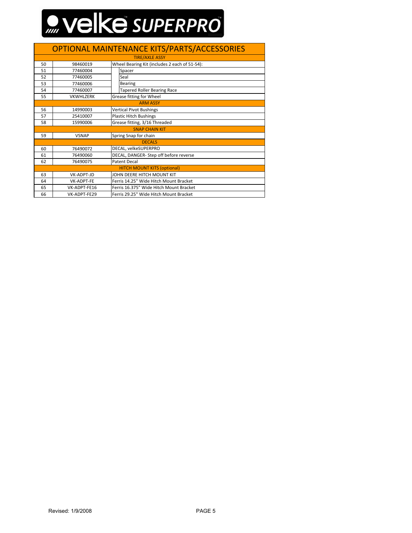# WEIKE SUPERPRO

#### OPTIONAL MAINTENANCE KITS/PARTS/ACCESSORIES

| <b>TIRE/AXLE ASSY</b>              |                                                        |                                               |                                    |  |  |  |
|------------------------------------|--------------------------------------------------------|-----------------------------------------------|------------------------------------|--|--|--|
| 50                                 | 98460019                                               | Wheel Bearing Kit (includes 2 each of 51-54): |                                    |  |  |  |
| 51                                 | 77460004                                               |                                               | Spacer                             |  |  |  |
| 52                                 | 77460005                                               |                                               | Seal                               |  |  |  |
| 53                                 | 77460006                                               |                                               | <b>Bearing</b>                     |  |  |  |
| 54                                 | 77460007                                               |                                               | <b>Tapered Roller Bearing Race</b> |  |  |  |
| 55                                 | <b>VKWHLZERK</b>                                       | Grease fitting for Wheel                      |                                    |  |  |  |
| <b>ARM ASSY</b>                    |                                                        |                                               |                                    |  |  |  |
| 56                                 | <b>Vertical Pivot Bushings</b><br>14990003             |                                               |                                    |  |  |  |
| 57                                 | 25410007                                               | <b>Plastic Hitch Bushings</b>                 |                                    |  |  |  |
| 58                                 | Grease fitting, 3/16 Threaded<br>15990006              |                                               |                                    |  |  |  |
| <b>SNAP CHAIN KIT</b>              |                                                        |                                               |                                    |  |  |  |
| 59                                 | Spring Snap for chain<br><b>VSNAP</b>                  |                                               |                                    |  |  |  |
| <b>DECALS</b>                      |                                                        |                                               |                                    |  |  |  |
| 60                                 | 76490072                                               | DECAL, velkeSUPERPRO                          |                                    |  |  |  |
| 61                                 | 76490060                                               | DECAL, DANGER-Step off before reverse         |                                    |  |  |  |
| 62                                 | 76490075                                               | <b>Patent Decal</b>                           |                                    |  |  |  |
| <b>HITCH MOUNT KITS (optional)</b> |                                                        |                                               |                                    |  |  |  |
| 63                                 | VK-ADPT-JD                                             |                                               | JOHN DEERE HITCH MOUNT KIT         |  |  |  |
| 64                                 | VK-ADPT-FE                                             | Ferris 14.25" Wide Hitch Mount Bracket        |                                    |  |  |  |
| 65                                 | VK-ADPT-FE16                                           | Ferris 16.375" Wide Hitch Mount Bracket       |                                    |  |  |  |
| 66                                 | Ferris 29.25" Wide Hitch Mount Bracket<br>VK-ADPT-FE29 |                                               |                                    |  |  |  |
|                                    |                                                        |                                               |                                    |  |  |  |